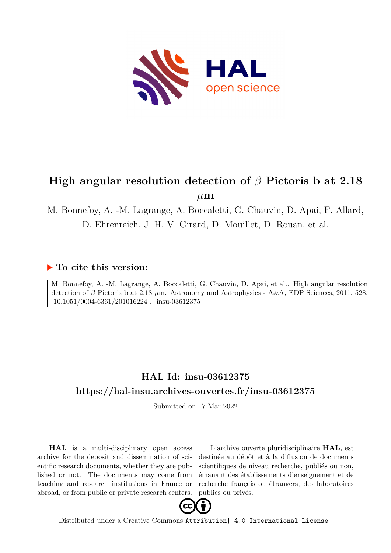

# **High angular resolution detection of** *β* **Pictoris b at 2.18**  $\mu$ **m**

M. Bonnefoy, A. -M. Lagrange, A. Boccaletti, G. Chauvin, D. Apai, F. Allard, D. Ehrenreich, J. H. V. Girard, D. Mouillet, D. Rouan, et al.

### **To cite this version:**

M. Bonnefoy, A. -M. Lagrange, A. Boccaletti, G. Chauvin, D. Apai, et al.. High angular resolution detection of *β* Pictoris b at 2.18 *µ*m. Astronomy and Astrophysics - A&A, EDP Sciences, 2011, 528, 10.1051/0004-6361/201016224 . insu-03612375

## **HAL Id: insu-03612375 <https://hal-insu.archives-ouvertes.fr/insu-03612375>**

Submitted on 17 Mar 2022

**HAL** is a multi-disciplinary open access archive for the deposit and dissemination of scientific research documents, whether they are published or not. The documents may come from teaching and research institutions in France or abroad, or from public or private research centers.

L'archive ouverte pluridisciplinaire **HAL**, est destinée au dépôt et à la diffusion de documents scientifiques de niveau recherche, publiés ou non, émanant des établissements d'enseignement et de recherche français ou étrangers, des laboratoires publics ou privés.



Distributed under a Creative Commons [Attribution| 4.0 International License](http://creativecommons.org/licenses/by/4.0/)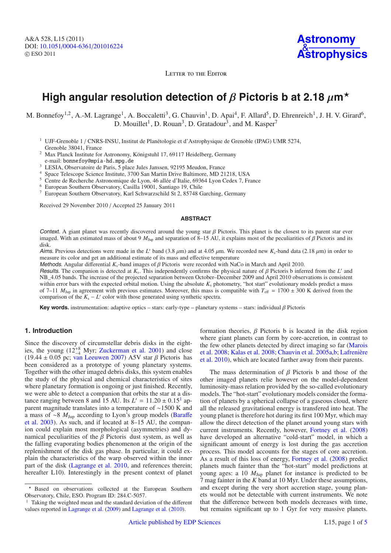LETTER TO THE EDITOR

### **High angular resolution detection of** β **Pictoris b at 2.18** μ**m**

M. Bonnefoy<sup>1,2</sup>, A.-M. Lagrange<sup>1</sup>, A. Boccaletti<sup>3</sup>, G. Chauvin<sup>1</sup>, D. Apai<sup>4</sup>, F. Allard<sup>5</sup>, D. Ehrenreich<sup>1</sup>, J. H. V. Girard<sup>6</sup>, D. Mouillet<sup>1</sup>, D. Rouan<sup>3</sup>, D. Gratadour<sup>3</sup>, and M. Kasper<sup>7</sup>

- $1 \text{ UJF-Genoble } 1 / \text{CNRS-INSU}$ , Institut de Planétologie et d'Astrophysique de Grenoble (IPAG) UMR 5274, Grenoble 38041, France
- <sup>2</sup> Max Planck Institute for Astronomy, Königstuhl 17, 69117 Heidelberg, Germany
- e-mail: bonnefoy@mpia-hd.mpg.de
- <sup>3</sup> LESIA, Observatoire de Paris, 5 place Jules Janssen, 92195 Meudon, France
- <sup>4</sup> Space Telescope Science Institute, 3700 San Martin Drive Baltimore, MD 21218, USA
- <sup>5</sup> Centre de Recherche Astronomique de Lyon, 46 allée d'Italie, 69364 Lyon Cedex 7, France
- <sup>6</sup> European Southern Observatory, Casilla 19001, Santiago 19, Chile
- <sup>7</sup> European Southern Observatory, Karl Schwarzschild St 2, 85748 Garching, Germany

Received 29 November 2010 / Accepted 25 January 2011

#### **ABSTRACT**

Context. A giant planet was recently discovered around the young star  $\beta$  Pictoris. This planet is the closest to its parent star ever imaged. With an estimated mass of about 9  $M_{\text{Jup}}$  and separation of 8–15 AU, it explains most of the peculiarities of β Pictoris and its disk.

Aims. Previous detections were made in the L' band (3.8  $\mu$ m) and at 4.05  $\mu$ m. We recorded new  $K_s$ -band data (2.18  $\mu$ m) in order to measure its color and get an additional estimate of its mass and effective temperature

Methods. Angular differential *<sup>K</sup>*s-band images of β Pictoris were recorded with NaCo in March and April 2010.

Results. The companion is detected at *<sup>K</sup>*s. This independently confirms the physical nature of β Pictoris b inferred from the *<sup>L</sup>* and NB\_4.05 bands. The increase of the projected separation between October–December 2009 and April 2010 observations is consistent within error bars with the expected orbital motion. Using the absolute  $K_s$  photometry, "hot start" evolutionary models predict a mass of 7–11  $M_{\text{Jup}}$  in agreement with previous estimates. Moreover, this mass is compatible with  $T_{\text{eff}} = 1700 \pm 300$  K derived from the comparison of the  $K_s - L'$  color with those generated using synthetic spectra.

**Key words.** instrumentation: adaptive optics – stars: early-type – planetary systems – stars: individual  $\beta$  Pictoris

#### **1. Introduction**

Since the discovery of circumstellar debris disks in the eighties, the young  $(12^{+8}_{-4}$  Myr; Zuckerman et al. 2001) and close (19.44 ± 0.05 pc; van Leeuwen 2007) A5V star  $\beta$  Pictoris has been considered as a prototype of young planetary systems. Together with the other imaged debris disks, this system enables the study of the physical and chemical characteristics of sites where planetary formation is ongoing or just finished. Recently, we were able to detect a companion that orbits the star at a distance ranging between 8 and 15 AU. Its  $L' = 11.20 \pm 0.15^1$  apparent magnitude translates into a temperature of ∼1500 K and a mass of ∼8 *M*Jup according to Lyon's group models (Baraffe et al. 2003). As such, and if located at 8–15 AU, the companion could explain most morphological (asymmetries) and dynamical peculiarities of the  $\beta$  Pictoris dust system, as well as the falling evaporating bodies phenomenon at the origin of the replenishment of the disk gas phase. In particular, it could explain the characteristics of the warp observed within the inner part of the disk (Lagrange et al. 2010, and references therein; hereafter L10). Interestingly in the present context of planet formation theories,  $\beta$  Pictoris b is located in the disk region where giant planets can form by core-accretion, in contrast to the few other planets detected by direct imaging so far (Marois et al. 2008; Kalas et al. 2008; Chauvin et al. 2005a,b; Lafrenière et al. 2010), which are located farther away from their parents.

The mass determination of  $\beta$  Pictoris b and those of the other imaged planets relie however on the model-dependent luminosity-mass relation provided by the so-called evolutionary models. The "hot-start" evolutionary models consider the formation of planets by a spherical collapse of a gaseous cloud, where all the released gravitational energy is transfered into heat. The young planet is therefore hot during its first 100 Myr, which may allow the direct detection of the planet around young stars with current instruments. Recently, however, Fortney et al. (2008) have developed an alternative "cold-start" model, in which a significant amount of energy is lost during the gas accretion process. This model accounts for the stages of core accretion. As a result of this loss of energy, Fortney et al. (2008) predict planets much fainter than the "hot-start" model predictions at young ages: a 10  $M_{\text{Jup}}$  planet for instance is predicted to be 7 mag fainter in the *K* band at 10 Myr. Under these assumptions, and except during the very short accretion stage, young planets would not be detectable with current instruments. We note that the difference between both models decreases with time, but remains significant up to 1 Gyr for very massive planets.

Based on observations collected at the European Southern Observatory, Chile, ESO. Program ID: 284.C-5057.

<sup>&</sup>lt;sup>1</sup> Taking the weighted mean and the standard deviation of the different values reported in Lagrange et al. (2009) and Lagrange et al. (2010).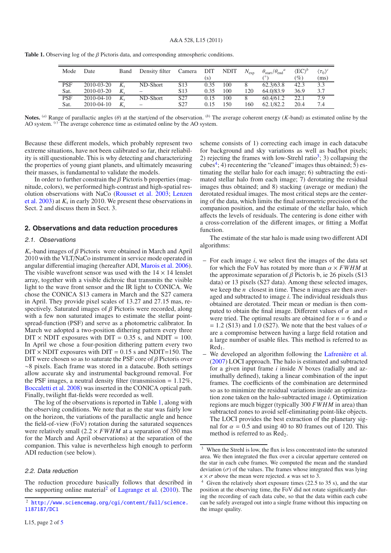| Mode       | Date       | Band        | Density filter | Camera DIT      | (S)  | <b>NDIT</b> | $N_{\rm exp}$ | $\theta_{\text{start}}/\theta_{\text{end}}^a$ | $\langle EC\rangle^b$<br>$(\%)$ | $\langle \tau_0 \rangle^c$<br>(ms) |
|------------|------------|-------------|----------------|-----------------|------|-------------|---------------|-----------------------------------------------|---------------------------------|------------------------------------|
| <b>PSF</b> | 2010-03-20 | K.          | ND-Short       | S <sub>13</sub> | 0.35 | 100         | 8             | 62.3/63.8                                     | 42.3                            | 3.3                                |
| Sat.       | 2010-03-20 | $K_{s}$     | —              | S <sub>13</sub> | 0.35 | 100         | 120           | 64.0/83.9                                     | 36.9                            | 3.7                                |
| <b>PSF</b> | 2010-04-10 | K.          | ND-Short       | S <sub>27</sub> | 0.15 | 100         | 8.            | 60.4/61.2                                     | 22.1                            | 7.9                                |
| Sat.       | 2010-04-10 | $K_{\rm e}$ | -              | S27             | 0.15 | 150         | 160           | 62.1/82.2                                     | 20.4                            | 7.4                                |

**Table 1.** Observing log of the β Pictoris data, and corresponding atmospheric conditions.

**Notes.** (*a*) Range of parallactic angles (*θ*) at the start/end of the observation. <sup>(*b*)</sup> The average coherent energy (*K*-band) as estimated online by the AO system. (*c*) The average coherence time as estimated online by the AO system.

Because these different models, which probably represent two extreme situations, have not been calibrated so far, their reliability is still questionable. This is why detecting and characterizing the properties of young giant planets, and ultimately measuring their masses, is fundamental to validate the models.

In order to further constrain the  $\beta$  Pictoris b properties (magnitude, colors), we performed high-contrast and high-spatial resolution observations with NaCo (Rousset et al. 2003; Lenzen et al. 2003) at *K*<sup>s</sup> in early 2010. We present these observations in Sect. 2 and discuss them in Sect. 3.

#### **2. Observations and data reduction procedures**

#### 2.1. Observations

 $K_s$ -band images of  $\beta$  Pictoris were obtained in March and April 2010 with the VLT/NaCo instrument in service mode operated in angular differential imaging (hereafter ADI, Marois et al. 2006). The visible wavefront sensor was used with the  $14 \times 14$  lenslet array, together with a visible dichroic that transmits the visible light to the wave front sensor and the IR light to CONICA. We chose the CONICA S13 camera in March and the S27 camera in April. They provide pixel scales of 13.27 and 27.15 mas, respectively. Saturated images of  $\beta$  Pictoris were recorded, along with a few non saturated images to estimate the stellar pointspread-function (PSF) and serve as a photometric calibrator. In March we adopted a two-position dithering pattern every three  $DIT \times NDIT$  exposures with  $DIT = 0.35$  s, and  $NDIT = 100$ . In April we chose a four-position dithering pattern every two  $DIT \times NDIT$  exposures with  $DIT = 0.15$  s and NDIT=150. The DIT were chosen so as to saturate the PSF core of  $\beta$  Pictoris over ∼8 pixels. Each frame was stored in a datacube. Both settings allow accurate sky and instrumental background removal. For the PSF images, a neutral density filter (transmission  $= 1.12\%$ , Boccaletti et al. 2008) was inserted in the CONICA optical path. Finally, twilight flat-fields were recorded as well.

The log of the observations is reported in Table 1, along with the observing conditions. We note that as the star was fairly low on the horizon, the variations of the parallactic angle and hence the field-of-view (FoV) rotation during the saturated sequences were relatively small  $(2.2 \times FWHM)$  at a separation of 350 mas for the March and April observations) at the separation of the companion. This value is nevertheless high enough to perform ADI reduction (see below).

#### 2.2. Data reduction

The reduction procedure basically follows that described in the supporting online material<sup>2</sup> of Lagrange et al.  $(2010)$ . The scheme consists of 1) correcting each image in each datacube for background and sky variations as well as bad/hot pixels; 2) rejecting the frames with low-Strehl ratio<sup>3</sup>; 3) collapsing the cubes<sup>4</sup>; 4) recentering the "cleaned" images thus obtained; 5) estimating the stellar halo for each image; 6) subtracting the estimated stellar halo from each image; 7) derotating the residual images thus obtained; and 8) stacking (average or median) the derotated residual images. The most critical steps are the centering of the data, which limits the final astrometric precision of the companion position, and the estimate of the stellar halo, which affects the levels of residuals. The centering is done either with a cross-correlation of the different images, or fitting a Moffat function.

The estimate of the star halo is made using two different ADI algorithms:

- − For each image *i*, we select first the images of the data set for which the FoV has rotated by more than  $\alpha \times FWHM$  at the approximate separation of β Pictoris b, ie 26 pixels (S13 data) or 13 pixels (S27 data). Among these selected images, we keep the *n* closest in time. These n images are then averaged and subtracted to image *i*. The individual residuals thus obtained are derotated. Their mean or median is then computed to obtain the final image. Different values of  $\alpha$  and  $n$ were tried. The optimal results are obtained for  $n = 6$  and  $\alpha$  $= 1.2$  (S13) and 1.0 (S27). We note that the best values of  $\alpha$ are a compromise between having a large field rotation and a large number of usable files. This method is referred to as  $Red<sub>1</sub>$ .
- We developed an algorithm following the Lafrenière et al. (2007) LOCI approach. The halo is estimated and subtracted for a given input frame *i* inside *N* boxes (radially and azimuthally defined), taking a linear combination of the input frames. The coefficients of the combination are determined so as to minimize the residual variations inside an optimization zone taken on the halo-subtracted image *i*. Optimization regions are much bigger (typically 300 *FWHM* in area) than subtracted zones to avoid self-eliminating point-like objects. The LOCI provides the best extraction of the planetary signal for  $\alpha = 0.5$  and using 40 to 80 frames out of 120. This method is referred to as  $\text{Red}_2$ .

<sup>2</sup> [http://www.sciencemag.org/cgi/content/full/science.](http://www.sciencemag.org/cgi/content/full/science.1187187/DC1) [1187187/DC1](http://www.sciencemag.org/cgi/content/full/science.1187187/DC1)

When the Strehl is low, the flux is less concentrated into the saturated area. We then integrated the flux over a circular apperture centered on the star in each cube frames. We computed the mean and the standard deviation ( $\sigma$ ) of the values. The frames whose integrated flux was lying  $\kappa \times \sigma$  above the mean were rejected.  $\kappa$  was set to 3.

Given the relatively short exposure times (22.5 to 35 s), and the star position at the observing time, the FoV did not rotate significantly during the recording of each data cube, so that the data within each cube can be safely averaged out into a single frame without this impacting on the image quality.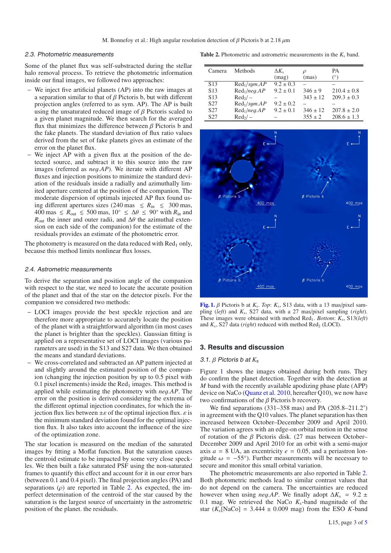#### 2.3. Photometric measurements

Some of the planet flux was self-substracted during the stellar halo removal process. To retrieve the photometric information inside our final images, we followed two approaches:

- − We inject five artificial planets (AP) into the raw images at a separation similar to that of  $\beta$  Pictoris b, but with different projection angles (referred to as sym. AP). The AP is built using the unsaturated reduced image of  $\beta$  Pictoris scaled to a given planet magnitude. We then search for the averaged flux that minimizes the difference between  $\beta$  Pictoris b and the fake planets. The standard deviation of flux ratio values derived from the set of fake planets gives an estimate of the error on the planet flux.
- − We inject AP with a given flux at the position of the detected source, and subtract it to this source into the raw images (referred as *ne*g.*AP*). We iterate with different AP fluxes and injection positions to minimize the standard deviation of the residuals inside a radially and azimuthally limited aperture centered at the position of the companion. The moderate dispersion of optimals injected AP flux found using different apertures sizes  $(240 \text{ mas } \leq R_{\text{in}} \leq 300 \text{ mas})$ , 400 mas  $\le R_{\text{out}} \le 500$  mas,  $10^{\circ} \le \Delta \theta \le 90^{\circ}$  with  $R_{\text{in}}$  and  $R_{\text{out}}$  the inner and outer radii and  $\Delta \theta$  the azimuthal exten- $R_{\text{out}}$  the inner and outer radii, and  $\Delta\theta$  the azimuthal extension on each side of the companion) for the estimate of the residuals provides an estimate of the photometric error.

The photometry is measured on the data reduced with  $\text{Red}_1$  only, because this method limits nonlinear flux losses.

#### 2.4. Astrometric measurements

To derive the separation and position angle of the companion with respect to the star, we need to locate the accurate position of the planet and that of the star on the detector pixels. For the companion we considered two methods:

- − LOCI images provide the best speckle rejection and are therefore more appropriate to accurately locate the position of the planet with a straightforward algorithm (in most cases the planet is brighter than the speckles). Gaussian fitting is applied on a representative set of LOCI images (various parameters are used) in the S13 and S27 data. We then obtained the means and standard deviations.
- We cross-correlated and subtracted an AP pattern injected at and slightly around the estimated position of the companion (changing the injection position by up to 0.5 pixel with 0.1 pixel increments) inside the  $\text{Red}_1$  images. This method is applied while estimating the photometry with *ne*g.*AP*. The error on the position is derived considering the extrema of the different optimal injection coordinates, for which the injection flux lies between  $\pm \varepsilon$  of the optimal injection flux.  $\varepsilon$  is the minimum standard deviation found for the optimal injection flux. It also takes into account the influence of the size of the optimization zone.

The star location is measured on the median of the saturated images by fitting a Moffat function. But the saturation causes the centroid estimate to be impacted by some very close speckles. We then built a fake saturated PSF using the non-saturated frames to quantify this effect and account for it in our error bars (between 0.1 and 0.4 pixel). The final projection angles (PA) and separations  $(\rho)$  are reported in Table 2. As expected, the imperfect determination of the centroid of the star caused by the saturation is the largest source of uncertainty in the astrometric position of the planet. the residuals.

**Table 2.** Photometric and astrometric measurements in the  $K_s$  band.

| Camera          | <b>Methods</b>          | $\Delta K_{s}$ | Ω            | PA              |
|-----------------|-------------------------|----------------|--------------|-----------------|
|                 |                         | (mag)          | (mas)        |                 |
| S <sub>13</sub> | Red <sub>1</sub> /symAP | $9.2 \pm 0.3$  |              |                 |
| S <sub>13</sub> | $Red_1/neg. AP$         | $9.2 \pm 0.1$  | $346 \pm 9$  | $210.4 \pm 0.8$ |
| S <sub>13</sub> | $Red_2/-$               |                | $343 \pm 12$ | $209.3 \pm 0.3$ |
| S27             | Red <sub>1</sub> /symAP | $9.2 \pm 0.2$  |              |                 |
| S27             | $Red_1/neg. AP$         | $9.2 \pm 0.1$  | $346 \pm 12$ | $207.8 \pm 2.0$ |
| S27             | $\text{Red}_2/-$        |                | $355 \pm 2$  | $208.6 \pm 1.3$ |
|                 |                         |                |              |                 |



**[Fig. 1.](http://dexter.edpsciences.org/applet.php?DOI=10.1051/0004-6361/201016224&pdf_id=1)**  $\beta$  Pictoris b at  $K_s$ . *Top*:  $K_s$ , S13 data, with a 13 mas/pixel sampling (*left*) and *K*s, S27 data, with a 27 mas/pixel sampling (*right*). These images were obtained with method Red<sub>1</sub>. *Bottom*:  $K_s$ , S13(*left*) and  $K_s$ , S27 data (*right*) reduced with method  $\text{Red}_2$  (LOCI).

#### **3. Results and discussion**

#### 3.1. <sup>β</sup> Pictoris <sup>b</sup> at *<sup>K</sup>*<sup>s</sup>

Figure 1 shows the images obtained during both runs. They do confirm the planet detection. Together with the detection at *M* band with the recently available apodizing phase plate (APP) device on NaCo (Quanz et al. 2010, hereafter Q10), we now have two confirmations of the β Pictoris b recovery.

We find separations (331–358 mas) and PA (205.8–211.2°) in agreement with the Q10 values. The planet separation has then increased between October–December 2009 and April 2010. The variation agrees with an edge-on orbital motion in the sense of rotation of the β Pictoris disk. (27 mas between October– December 2009 and April 2010 for an orbit with a semi-major axis  $a = 8$  UA, an excentricity  $e = 0.05$ , and a periastron longitude  $\omega = -55^{\circ}$ . Further measurements will be necessary to secure and monitor this small orbital variation.

The photometric measurements are also reported in Table 2. Both photometric methods lead to similar contrast values that do not depend on the camera. The uncertainties are reduced however when using *neq.AP*. We finally adopt  $\Delta K_s = 9.2 \pm$ 0.1 mag. We retrieved the NaCo  $K_s$ -band magnitude of the star  $(K_s[NaCo] = 3.444 \pm 0.009$  mag) from the ESO *K*-band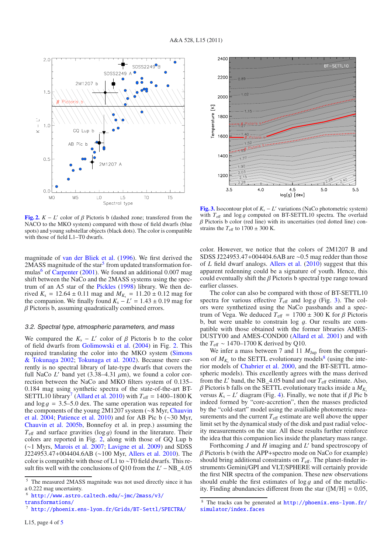

**[Fig. 2.](http://dexter.edpsciences.org/applet.php?DOI=10.1051/0004-6361/201016224&pdf_id=2)**  $K - L'$  color of  $\beta$  Pictoris b (dashed zone; transferred from the NACO to the MKO system) compared with those of field dwarfs (blue spots) and young substellar objects (black dots). The color is compatible with those of field L1–T0 dwarfs.

magnitude of van der Bliek et al. (1996). We first derived the 2MASS magnitude of the star<sup>5</sup> from updated transformation formulas<sup>6</sup> of Carpenter (2001). We found an additional 0.007 mag shift between the NaCo and the 2MASS systems using the spectrum of an A5 star of the Pickles (1998) library. We then derived  $K_s = 12.64 \pm 0.11$  mag and  $M_{K_s} = 11.20 \pm 0.12$  mag for the companion. We finally found  $K_s - L' = 1.43 \pm 0.19$  mag for  $\beta$  Pictoris b, assuming quadratically combined errors.

#### 3.2. Spectral type, atmospheric parameters, and mass

We compared the  $K_s - L'$  color of  $\beta$  Pictoris b to the color of field dwarfs from Golimowski et al. (2004) in Fig. 2. This required translating the color into the MKO system (Simons & Tokunaga 2002; Tokunaga et al. 2002). Because there currently is no spectral library of late-type dwarfs that covers the full NaCo  $L'$  band yet (3.38–4.31  $\mu$ m), we found a color correction between the NaCo and MKO filters system of 0.135– 0.184 mag using synthetic spectra of the state-of-the-art BT-SETTL10 library<sup>7</sup> (Allard et al. 2010) with  $T_{\text{eff}} = 1400-1800 \text{ K}$ and  $\log g = 3.5 - 5.0$  dex. The same operation was repeated for the components of the young 2M1207 system (∼8 Myr, Chauvin et al. 2004; Patience et al. 2010) and for AB Pic b (∼30 Myr, Chauvin et al. 2005b, Bonnefoy et al. in prep.) assuming the  $T_{\text{eff}}$  and surface gravities ( $\log g$ ) found in the literature. Their colors are reported in Fig. 2, along with those of GQ Lup b (∼1 Myrs, Marois et al. 2007; Lavigne et al. 2009) and SDSS J224953.47+004404.6AB (∼100 Myr, Allers et al. 2010). The color is compatible with those of L1 to ∼T0 field dwarfs. This result fits well with the conclusions of Q10 from the  $L'$  – NB\_4.05

<sup>7</sup> <http://phoenix.ens-lyon.fr/Grids/BT-Settl/SPECTRA/>



**[Fig. 3.](http://dexter.edpsciences.org/applet.php?DOI=10.1051/0004-6361/201016224&pdf_id=3)** Isocontour plot of  $K_s - L'$  variations (NaCo photometric system) with  $T_{\text{eff}}$  and  $\log g$  computed on BT-SETTL10 spectra. The overlaid  $\beta$  Pictoris b color (red line) with its uncertaities (red dotted line) constrains the  $T_{\text{eff}}$  to 1700  $\pm$  300 K.

color. However, we notice that the colors of 2M1207 B and SDSS J224953.47+004404.6AB are ∼0.5 mag redder than those of *L* field dwarf analogs. Allers et al. (2010) suggest that this apparent redenning could be a signature of youth. Hence, this could eventually shift the  $\beta$  Pictoris b spectral type range toward earlier classes.

The color can also be compared with those of BT-SETTL10 spectra for various effective  $T_{\text{eff}}$  and  $\log g$  (Fig. 3). The colors were synthetized using the NaCo passbands and a spectrum of Vega. We deduced  $T_{\text{eff}} = 1700 \pm 300$  K for β Pictoris b, but were unable to constrain  $log\ q$ . Our results are compatible with those obtained with the former libraries AMES-DUSTY00 and AMES-COND00 (Allard et al. 2001) and with the  $T_{\text{eff}}$  ~ 1470–1700 K derived by Q10.

We infer a mass between 7 and 11  $M_{Jup}$  from the comparison of  $M_K$  to the SETTL evolutionary models<sup>8</sup> (using the interior models of Chabrier et al. 2000, and the BT-SETTL atmospheric models). This excellently agrees with the mass derived from the  $L'$  band, the NB\_4.05 band and our  $T_{\text{eff}}$  estimate. Also, β Pictoris b falls on the SETTL evolutionary tracks inside a  $M_{K_s}$ versus  $K_s - L'$  diagram (Fig. 4). Finally, we note that if  $\beta$  Pic b indeed formed by "core-accretion", then the masses predicted by the "cold-start" model using the availiable photometric measurements and the current  $T_{\text{eff}}$  estimate are well above the upper limit set by the dynamical study of the disk and past radial velocity measurements on the star. All these results further reinforce the idea that this companion lies inside the planetary mass range.

Forthcoming *J* and *H* imaging and *L'* band spectroscopy of  $\beta$  Pictoris b (with the APP+spectro mode on NaCo for example) should bring additional constraints on  $T_{\text{eff}}$ . The planet-finder instruments Gemini/GPI and VLT/SPHERE will certainly provide the first NIR spectra of the companion. These new observations should enable the first estimates of  $\log g$  and of the metallicity. Finding abundancies different from the star ( $[M/H] = 0.05$ ,

<sup>5</sup> The measured 2MASS magnitude was not used directly since it has a 0.222 mag uncertainty.

 $6$  [http://www.astro.caltech.edu/~jmc/2mass/v3/](http://www.astro.caltech.edu/~jmc/2mass/v3/transformations/) [transformations/](http://www.astro.caltech.edu/~jmc/2mass/v3/transformations/)

<sup>8</sup> The tracks can be generated at [http://phoenix.ens-lyon.fr/](http://phoenix.ens-lyon.fr/simulator/index.faces) [simulator/index.faces](http://phoenix.ens-lyon.fr/simulator/index.faces)